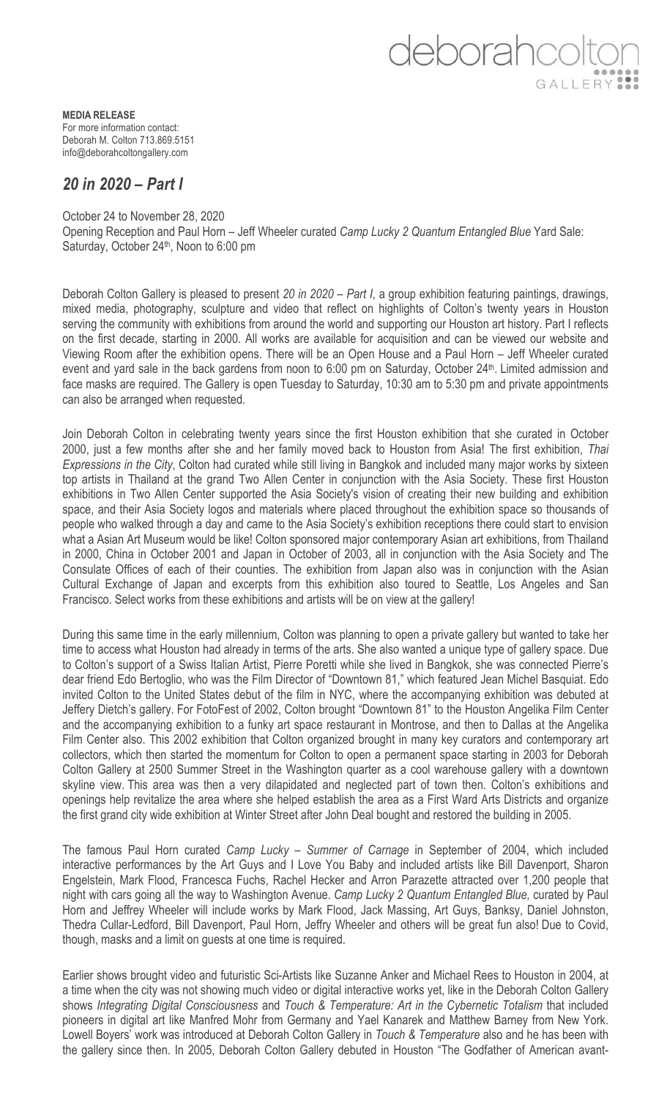deborahcolte GALLERY ...

**MEDIA RELEASE** For more information contact: Deborah M. Colton 713.869.5151 info@deborahcoltongallery.com

## *20 in 2020 – Part I*

October 24 to November 28, 2020 Opening Reception and Paul Horn – Jeff Wheeler curated *Camp Lucky 2 Quantum Entangled Blue* Yard Sale: Saturday, October 24<sup>th</sup>, Noon to 6:00 pm

Deborah Colton Gallery is pleased to present *20 in 2020 – Part I*, a group exhibition featuring paintings, drawings, mixed media, photography, sculpture and video that reflect on highlights of Colton's twenty years in Houston serving the community with exhibitions from around the world and supporting our Houston art history. Part I reflects on the first decade, starting in 2000. All works are available for acquisition and can be viewed our website and Viewing Room after the exhibition opens. There will be an Open House and a Paul Horn – Jeff Wheeler curated event and yard sale in the back gardens from noon to 6:00 pm on Saturday, October 24<sup>th</sup>. Limited admission and face masks are required. The Gallery is open Tuesday to Saturday, 10:30 am to 5:30 pm and private appointments can also be arranged when requested.

Join Deborah Colton in celebrating twenty years since the first Houston exhibition that she curated in October 2000, just a few months after she and her family moved back to Houston from Asia! The first exhibition, *Thai Expressions in the City*, Colton had curated while still living in Bangkok and included many major works by sixteen top artists in Thailand at the grand Two Allen Center in conjunction with the Asia Society. These first Houston exhibitions in Two Allen Center supported the Asia Society's vision of creating their new building and exhibition space, and their Asia Society logos and materials where placed throughout the exhibition space so thousands of people who walked through a day and came to the Asia Society's exhibition receptions there could start to envision what a Asian Art Museum would be like! Colton sponsored major contemporary Asian art exhibitions, from Thailand in 2000, China in October 2001 and Japan in October of 2003, all in conjunction with the Asia Society and The Consulate Offices of each of their counties. The exhibition from Japan also was in conjunction with the Asian Cultural Exchange of Japan and excerpts from this exhibition also toured to Seattle, Los Angeles and San Francisco. Select works from these exhibitions and artists will be on view at the gallery!

During this same time in the early millennium, Colton was planning to open a private gallery but wanted to take her time to access what Houston had already in terms of the arts. She also wanted a unique type of gallery space. Due to Colton's support of a Swiss Italian Artist, Pierre Poretti while she lived in Bangkok, she was connected Pierre's dear friend Edo Bertoglio, who was the Film Director of "Downtown 81," which featured Jean Michel Basquiat. Edo invited Colton to the United States debut of the film in NYC, where the accompanying exhibition was debuted at Jeffery Dietch's gallery. For FotoFest of 2002, Colton brought "Downtown 81" to the Houston Angelika Film Center and the accompanying exhibition to a funky art space restaurant in Montrose, and then to Dallas at the Angelika Film Center also. This 2002 exhibition that Colton organized brought in many key curators and contemporary art collectors, which then started the momentum for Colton to open a permanent space starting in 2003 for Deborah Colton Gallery at 2500 Summer Street in the Washington quarter as a cool warehouse gallery with a downtown skyline view. This area was then a very dilapidated and neglected part of town then. Colton's exhibitions and openings help revitalize the area where she helped establish the area as a First Ward Arts Districts and organize the first grand city wide exhibition at Winter Street after John Deal bought and restored the building in 2005.

The famous Paul Horn curated *Camp Lucky – Summer of Carnage* in September of 2004, which included interactive performances by the Art Guys and I Love You Baby and included artists like Bill Davenport, Sharon Engelstein, Mark Flood, Francesca Fuchs, Rachel Hecker and Arron Parazette attracted over 1,200 people that night with cars going all the way to Washington Avenue. *Camp Lucky 2 Quantum Entangled Blue,* curated by Paul Horn and Jeffrey Wheeler will include works by Mark Flood, Jack Massing, Art Guys, Banksy, Daniel Johnston, Thedra Cullar-Ledford, Bill Davenport, Paul Horn, Jeffry Wheeler and others will be great fun also! Due to Covid, though, masks and a limit on guests at one time is required.

Earlier shows brought video and futuristic Sci-Artists like Suzanne Anker and Michael Rees to Houston in 2004, at a time when the city was not showing much video or digital interactive works yet, like in the Deborah Colton Gallery shows *Integrating Digital Consciousness* and *Touch & Temperature: Art in the Cybernetic Totalism* that included pioneers in digital art like Manfred Mohr from Germany and Yael Kanarek and Matthew Barney from New York. Lowell Boyers' work was introduced at Deborah Colton Gallery in *Touch & Temperature* also and he has been with the gallery since then. In 2005, Deborah Colton Gallery debuted in Houston "The Godfather of American avant